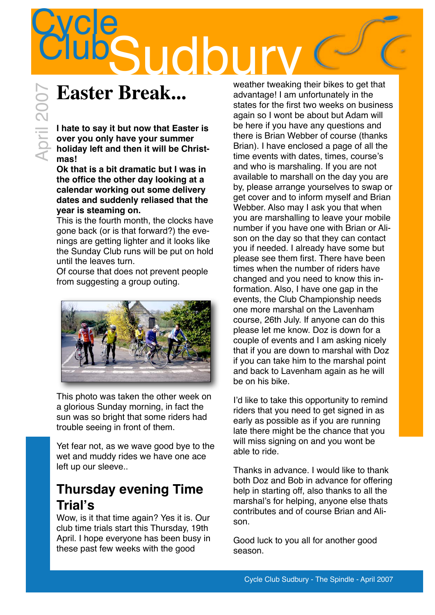## **Cycle Sudbu**

## **Easter Break...**

il 200

**I hate to say it but now that Easter is over you only have your summer holiday left and then it will be Christmas!**

**Ok that is a bit dramatic but I was in the office the other day looking at a calendar working out some delivery dates and suddenly reliased that the year is steaming on.**

This is the fourth month, the clocks have gone back (or is that forward?) the evenings are getting lighter and it looks like the Sunday Club runs will be put on hold until the leaves turn.

Of course that does not prevent people from suggesting a group outing.



This photo was taken the other week on a glorious Sunday morning, in fact the sun was so bright that some riders had trouble seeing in front of them.

Yet fear not, as we wave good bye to the wet and muddy rides we have one ace left up our sleeve..

## **Thursday evening Time Trial's**

Wow, is it that time again? Yes it is. Our club time trials start this Thursday, 19th April. I hope everyone has been busy in these past few weeks with the good

weather tweaking their bikes to get that advantage! I am unfortunately in the states for the first two weeks on business again so I wont be about but Adam will be here if you have any questions and there is Brian Webber of course (thanks Brian). I have enclosed a page of all the time events with dates, times, course's and who is marshaling. If you are not available to marshall on the day you are by, please arrange yourselves to swap or get cover and to inform myself and Brian Webber. Also may I ask you that when you are marshalling to leave your mobile number if you have one with Brian or Alison on the day so that they can contact you if needed. I already have some but please see them first. There have been times when the number of riders have changed and you need to know this information. Also, I have one gap in the events, the Club Championship needs one more marshal on the Lavenham course, 26th July. If anyone can do this please let me know. Doz is down for a couple of events and I am asking nicely that if you are down to marshal with Doz if you can take him to the marshal point and back to Lavenham again as he will be on his bike.

I'd like to take this opportunity to remind riders that you need to get signed in as early as possible as if you are running late there might be the chance that you will miss signing on and you wont be able to ride.

Thanks in advance. I would like to thank both Doz and Bob in advance for offering help in starting off, also thanks to all the marshal's for helping, anyone else thats contributes and of course Brian and Alison.

Good luck to you all for another good season.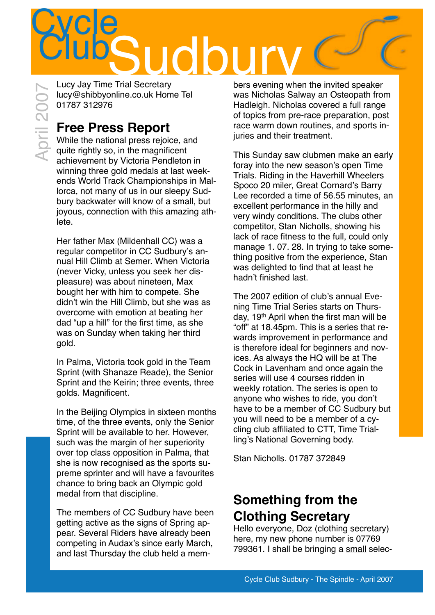## Cycle<br>Club **TIGO**

Lucy Jay Time Trial Secretary [lucy@shibbyonline.co.uk](mailto:lucy@shibbyonline.co.uk) Home Tel 01787 312976 April 2007

## **Free Press Report**

While the national press rejoice, and quite rightly so, in the magnificent achievement by Victoria Pendleton in winning three gold medals at last weekends World Track Championships in Mallorca, not many of us in our sleepy Sudbury backwater will know of a small, but joyous, connection with this amazing athlete.

Her father Max (Mildenhall CC) was a regular competitor in CC Sudbury's annual Hill Climb at Semer. When Victoria (never Vicky, unless you seek her displeasure) was about nineteen, Max bought her with him to compete. She didn't win the Hill Climb, but she was as overcome with emotion at beating her dad "up a hill" for the first time, as she was on Sunday when taking her third gold.

In Palma, Victoria took gold in the Team Sprint (with Shanaze Reade), the Senior Sprint and the Keirin; three events, three golds. Magnificent.

In the Beijing Olympics in sixteen months time, of the three events, only the Senior Sprint will be available to her. However, such was the margin of her superiority over top class opposition in Palma, that she is now recognised as the sports supreme sprinter and will have a favourites chance to bring back an Olympic gold medal from that discipline.

The members of CC Sudbury have been getting active as the signs of Spring appear. Several Riders have already been competing in Audax's since early March, and last Thursday the club held a members evening when the invited speaker was Nicholas Salway an Osteopath from Hadleigh. Nicholas covered a full range of topics from pre-race preparation, post race warm down routines, and sports iniuries and their treatment.

This Sunday saw clubmen make an early foray into the new season's open Time Trials. Riding in the Haverhill Wheelers Spoco 20 miler, Great Cornard's Barry Lee recorded a time of 56.55 minutes, an excellent performance in the hilly and very windy conditions. The clubs other competitor, Stan Nicholls, showing his lack of race fitness to the full, could only manage 1. 07. 28. In trying to take something positive from the experience, Stan was delighted to find that at least he hadn't finished last.

The 2007 edition of club's annual Evening Time Trial Series starts on Thursday, 19th April when the first man will be "off" at 18.45pm. This is a series that rewards improvement in performance and is therefore ideal for beginners and novices. As always the HQ will be at The Cock in Lavenham and once again the series will use 4 courses ridden in weekly rotation. The series is open to anyone who wishes to ride, you don't have to be a member of CC Sudbury but you will need to be a member of a cycling club affiliated to CTT, Time Trialling's National Governing body.

Stan Nicholls. 01787 372849

## **Something from the Clothing Secretary**

Hello everyone, Doz (clothing secretary) here, my new phone number is 07769 799361. I shall be bringing a small selec-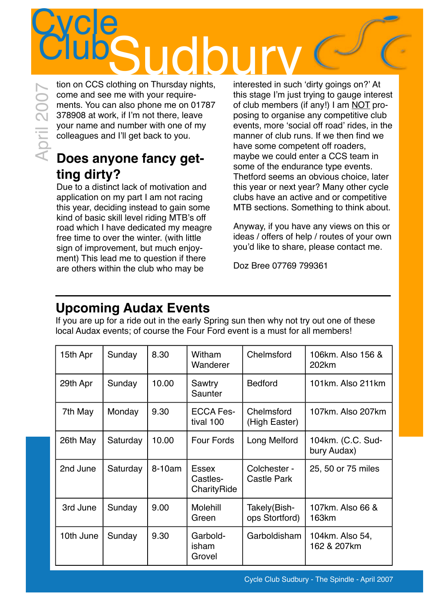# Example to a more control of the stage l'm just<br>come and see me with your require-<br>and so ophone me on 01787 of club members (378908 at work, if i'm not there, leave<br>so anyone me on 01787 of club members (and the stage l'm

come and see me with your requirements. You can also phone me on 01787 378908 at work, if I'm not there, leave your name and number with one of my colleagues and I'll get back to you.

## **Does anyone fancy getting dirty?**

Due to a distinct lack of motivation and application on my part I am not racing this year, deciding instead to gain some kind of basic skill level riding MTB's off road which I have dedicated my meagre free time to over the winter. (with little sign of improvement, but much enjoyment) This lead me to question if there are others within the club who may be

interested in such 'dirty goings on?' At this stage I'm just trying to gauge interest of club members (if any!) I am NOT proposing to organise any competitive club events, more 'social off road' rides, in the manner of club runs. If we then find we have some competent off roaders, maybe we could enter a CCS team in some of the endurance type events. Thetford seems an obvious choice, later this year or next year? Many other cycle clubs have an active and or competitive MTB sections. Something to think about.

Anyway, if you have any views on this or ideas / offers of help / routes of your own you'd like to share, please contact me.

Doz Bree 07769 799361

## **Upcoming Audax Events**

If you are up for a ride out in the early Spring sun then why not try out one of these local Audax events; of course the Four Ford event is a must for all members!

| 15th Apr  | Sunday   | 8.30   | Witham<br>Wanderer                      | Chelmsford                     | 106km. Also 156 &<br>202km       |
|-----------|----------|--------|-----------------------------------------|--------------------------------|----------------------------------|
| 29th Apr  | Sunday   | 10.00  | Sawtry<br>Saunter                       | <b>Bedford</b>                 | 101km. Also 211km                |
| 7th May   | Monday   | 9.30   | <b>ECCA Fes-</b><br>tival 100           | Chelmsford<br>(High Easter)    | 107km. Also 207km                |
| 26th May  | Saturday | 10.00  | <b>Four Fords</b>                       | Long Melford                   | 104km. (C.C. Sud-<br>bury Audax) |
| 2nd June  | Saturday | 8-10am | <b>Essex</b><br>Castles-<br>CharityRide | Colchester -<br>Castle Park    | 25, 50 or 75 miles               |
| 3rd June  | Sunday   | 9.00   | Molehill<br>Green                       | Takely(Bish-<br>ops Stortford) | 107km. Also 66 &<br>163km        |
| 10th June | Sunday   | 9.30   | Garbold-<br>isham<br>Grovel             | Garboldisham                   | 104km. Also 54,<br>162 & 207km   |